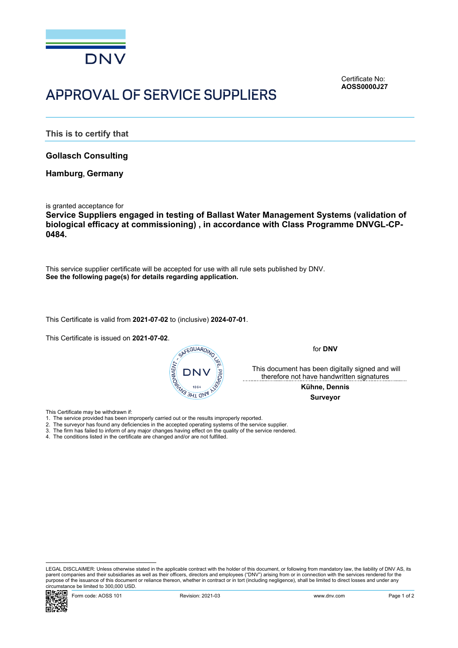

## APPROVAL OF SERVICE SUPPLIERS

<span id="page-0-0"></span>Certificate No: **AOSS0000J27**

**This is to certify that**

**Gollasch Consulting**

**Hamburg, Germany**

is granted acceptance for

**Service Suppliers engaged in testing of Ballast Water Management Systems (validation of biological efficacy at commissioning) , in accordance with Class Programme DNVGL-CP-0484.**

This service supplier certificate will be accepted for use with all rule sets published by DNV. **See the following page(s) for details regarding application.**

This Certificate is valid from **2021-07-02** to (inclusive) **2024-07-01**.

This Certificate is issued on **2021-07-02**.



for **DNV**

 This document has been digitally signed and will therefore not have handwritten signatures

> **Kühne, Dennis Surveyor**

This Certificate may be withdrawn if:

- 1. The service provided has been improperly carried out or the results improperly reported.
- 2. The surveyor has found any deficiencies in the accepted operating systems of the service supplier.
- 3. The firm has failed to inform of any major changes having effect on the quality of the service rendered.
- 4. The conditions listed in the certificate are changed and/or are not fulfilled.

LEGAL DISCLAIMER: Unless otherwise stated in the applicable contract with the holder of this document, or following from mandatory law, the liability of DNV AS, its parent companies and their subsidiaries as well as their officers, directors and employees ("DNV") arising from or in connection with the services rendered for the purpose of the issuance of this document or reliance thereon, whether in contract or in tort (including negligence), shall be limited to direct losses and under any circumstance be limited to 300,000 USD.